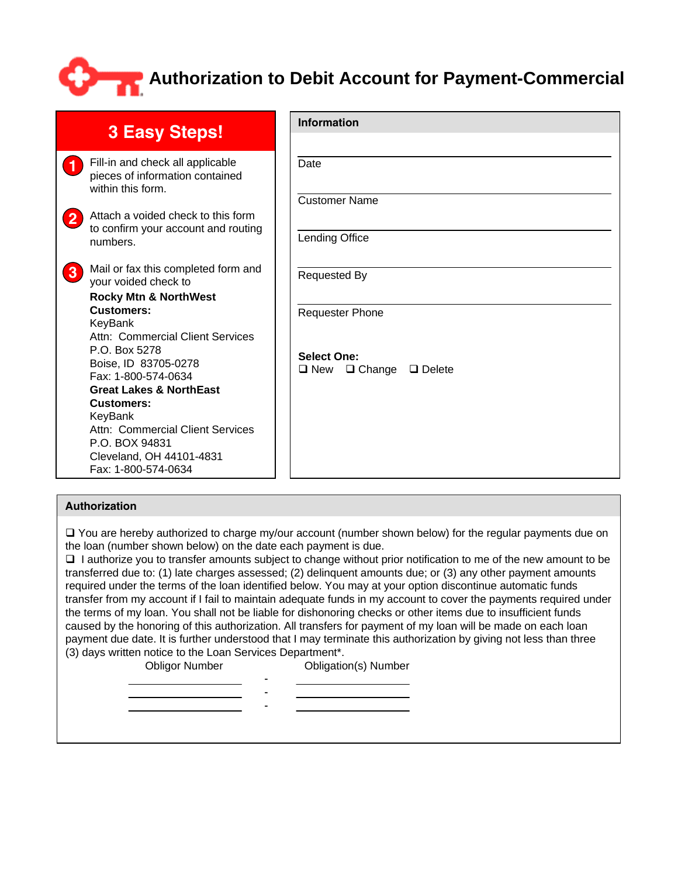## **Authorization to Debit Account for Payment-Commercial**

| <b>3 Easy Steps!</b> |                                                                                                                                                                                                                              | Information                                                  |  |  |
|----------------------|------------------------------------------------------------------------------------------------------------------------------------------------------------------------------------------------------------------------------|--------------------------------------------------------------|--|--|
|                      |                                                                                                                                                                                                                              |                                                              |  |  |
| $\blacksquare$       | Fill-in and check all applicable<br>pieces of information contained<br>within this form.                                                                                                                                     | Date<br><b>Customer Name</b>                                 |  |  |
| $\mathbf{2}$         | Attach a voided check to this form<br>to confirm your account and routing<br>numbers.                                                                                                                                        | Lending Office                                               |  |  |
| $\mathbf{3}$         | Mail or fax this completed form and<br>your voided check to<br><b>Rocky Mtn &amp; NorthWest</b><br>Customers:<br>KeyBank<br>Attn: Commercial Client Services<br>P.O. Box 5278<br>Boise, ID 83705-0278<br>Fax: 1-800-574-0634 | <b>Requested By</b>                                          |  |  |
|                      |                                                                                                                                                                                                                              | <b>Requester Phone</b>                                       |  |  |
|                      |                                                                                                                                                                                                                              | <b>Select One:</b><br>$\Box$ New $\Box$ Change $\Box$ Delete |  |  |
|                      | <b>Great Lakes &amp; NorthEast</b>                                                                                                                                                                                           |                                                              |  |  |
|                      | <b>Customers:</b><br>KeyBank                                                                                                                                                                                                 |                                                              |  |  |
|                      | Attn: Commercial Client Services<br>P.O. BOX 94831                                                                                                                                                                           |                                                              |  |  |
|                      | Cleveland, OH 44101-4831<br>Fax: 1-800-574-0634                                                                                                                                                                              |                                                              |  |  |

## **Authorization**

 $\Box$  You are hereby authorized to charge my/our account (number shown below) for the regular payments due on the loan (number shown below) on the date each payment is due.

 I authorize you to transfer amounts subject to change without prior notification to me of the new amount to be transferred due to: (1) late charges assessed; (2) delinquent amounts due; or (3) any other payment amounts required under the terms of the loan identified below. You may at your option discontinue automatic funds transfer from my account if I fail to maintain adequate funds in my account to cover the payments required under the terms of my loan. You shall not be liable for dishonoring checks or other items due to insufficient funds caused by the honoring of this authorization. All transfers for payment of my loan will be made on each loan payment due date. It is further understood that I may terminate this authorization by giving not less than three (3) days written notice to the Loan Services Department\*.

Obligor Number Obligation(s) Number

- - -